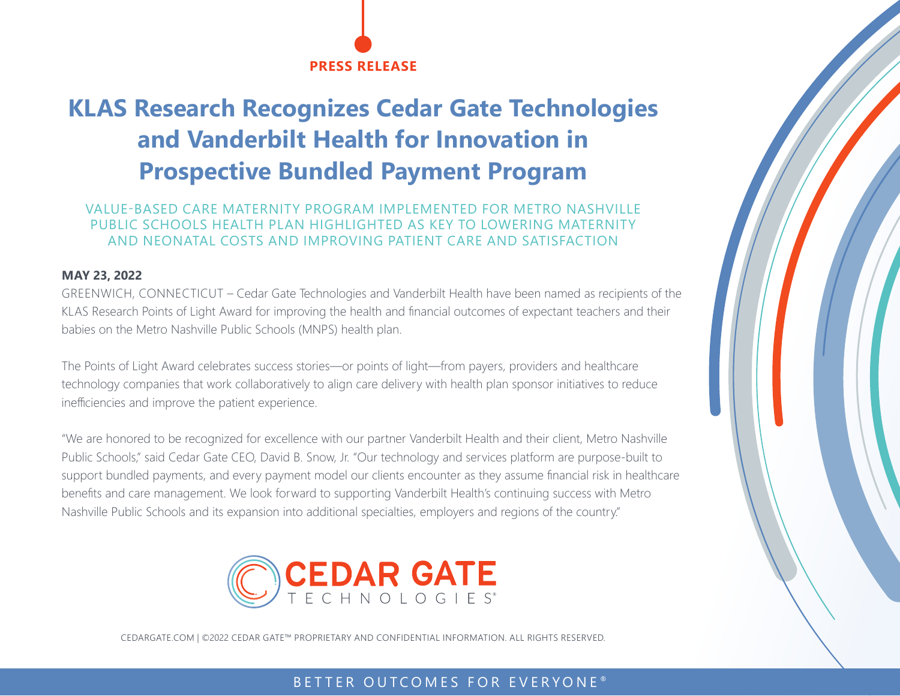

# **KLAS Research Recognizes Cedar Gate Technologies and Vanderbilt Health for Innovation in Prospective Bundled Payment Program**

### VALUE-BASED CARE MATERNITY PROGRAM IMPLEMENTED FOR METRO NASHVILLE PUBLIC SCHOOLS HEALTH PLAN HIGHLIGHTED AS KEY TO LOWERING MATERNITY AND NEONATAL COSTS AND IMPROVING PATIENT CARE AND SATISFACTION

#### **MAY 23, 2022**

GREENWICH, CONNECTICUT – Cedar Gate Technologies and Vanderbilt Health have been named as recipients of the KLAS Research Points of Light Award for improving the health and financial outcomes of expectant teachers and their babies on the Metro Nashville Public Schools (MNPS) health plan.

The Points of Light Award celebrates success stories—or points of light—from payers, providers and healthcare technology companies that work collaboratively to align care delivery with health plan sponsor initiatives to reduce inefficiencies and improve the patient experience.

"We are honored to be recognized for excellence with our partner Vanderbilt Health and their client, Metro Nashville Public Schools," said Cedar Gate CEO, David B. Snow, Jr. "Our technology and services platform are purpose-built to support bundled payments, and every payment model our clients encounter as they assume financial risk in healthcare benefits and care management. We look forward to supporting Vanderbilt Health's continuing success with Metro Nashville Public Schools and its expansion into additional specialties, employers and regions of the country."



CEDARGATE.COM | ©2022 CEDAR GATE™ PROPRIETARY AND CONFIDENTIAL INFORMATION. ALL RIGHTS RESERVED.

## BETTER OUTCOMES FOR EVERYONE<sup>®</sup>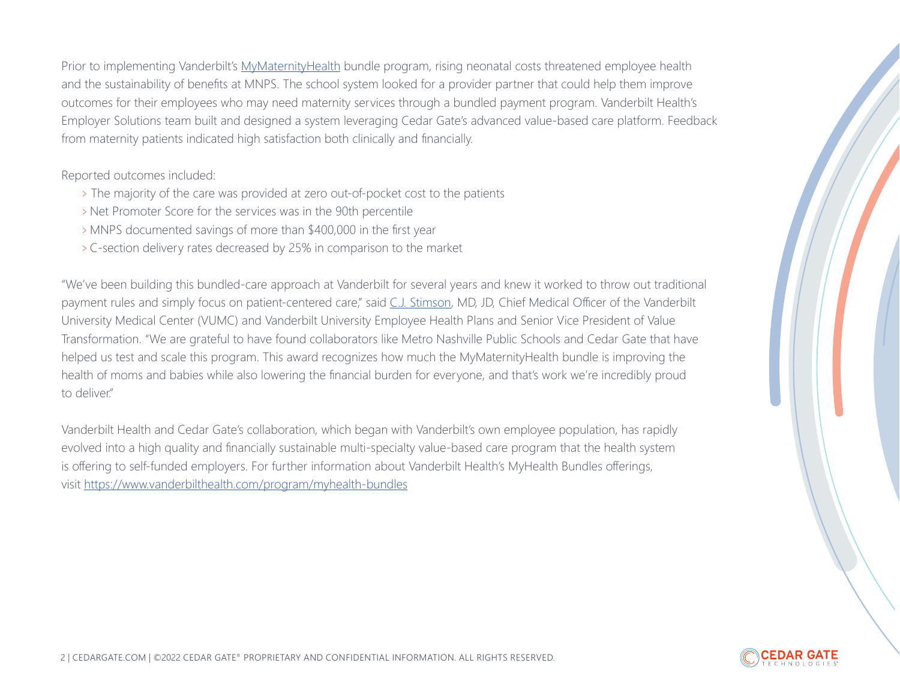Prior to implementing Vanderbilt's [MyMaternityHealth](https://www.vanderbilthealth.com/service/mymaternityhealth-employers) bundle program, rising neonatal costs threatened employee health and the sustainability of benefits at MNPS. The school system looked for a provider partner that could help them improve outcomes for their employees who may need maternity services through a bundled payment program. Vanderbilt Health's Employer Solutions team built and designed a system leveraging Cedar Gate's advanced value-based care platform. Feedback from maternity patients indicated high satisfaction both clinically and financially.

Reported outcomes included:

- <sup>&</sup>gt; The majority of the care was provided at zero out-of-pocket cost to the patients
- > Net Promoter Score for the services was in the 90th percentile
- <sup>&</sup>gt;MNPS documented savings of more than \$400,000 in the first year
- <sup>&</sup>gt;C-section delivery rates decreased by 25% in comparison to the market

"We've been building this bundled-care approach at Vanderbilt for several years and knew it worked to throw out traditional payment rules and simply focus on patient-centered care," said [C.J. Stimson,](https://urldefense.proofpoint.com/v2/url?u=https-3A__news.vumc.org_2021_01_14_stimson-2Dnamed-2Dsenior-2Dvp-2Dof-2Dvalue-2Dtransformation_&d=DwMGaQ&c=gOrgfQB8xVH7F0lP7MQhi8CyVXMBvYqNyP3LuSSb8Lw&r=aUfOCRXP8lp8Sv3vnaxhp-s28IGHdS6v0ZgEvvwudjq37_stcn09ryHWZrGKWnNk&m=IUGhMuaMIwxm0QmBm62D8hAfc_kjBeqDfh-e7ieADsAjBoGiYgBQoMR4iKRP_xJZ&s=LbMIyFMf6GMqKqtDB0a36Gq7qmVy_aigIAdjrOl_0zs&e=) MD, JD, Chief Medical Officer of the Vanderbilt University Medical Center (VUMC) and Vanderbilt University Employee Health Plans and Senior Vice President of Value Transformation. "We are grateful to have found collaborators like Metro Nashville Public Schools and Cedar Gate that have helped us test and scale this program. This award recognizes how much the MyMaternityHealth bundle is improving the health of moms and babies while also lowering the financial burden for everyone, and that's work we're incredibly proud to deliver."

Vanderbilt Health and Cedar Gate's collaboration, which began with Vanderbilt's own employee population, has rapidly evolved into a high quality and financially sustainable multi-specialty value-based care program that the health system is offering to self-funded employers. For further information about Vanderbilt Health's MyHealth Bundles offerings, visit [https://www.vanderbilthealth.com/program/myhealth-bundles](https://www.vanderbilthealth.com/program/myhealth-bundles
)